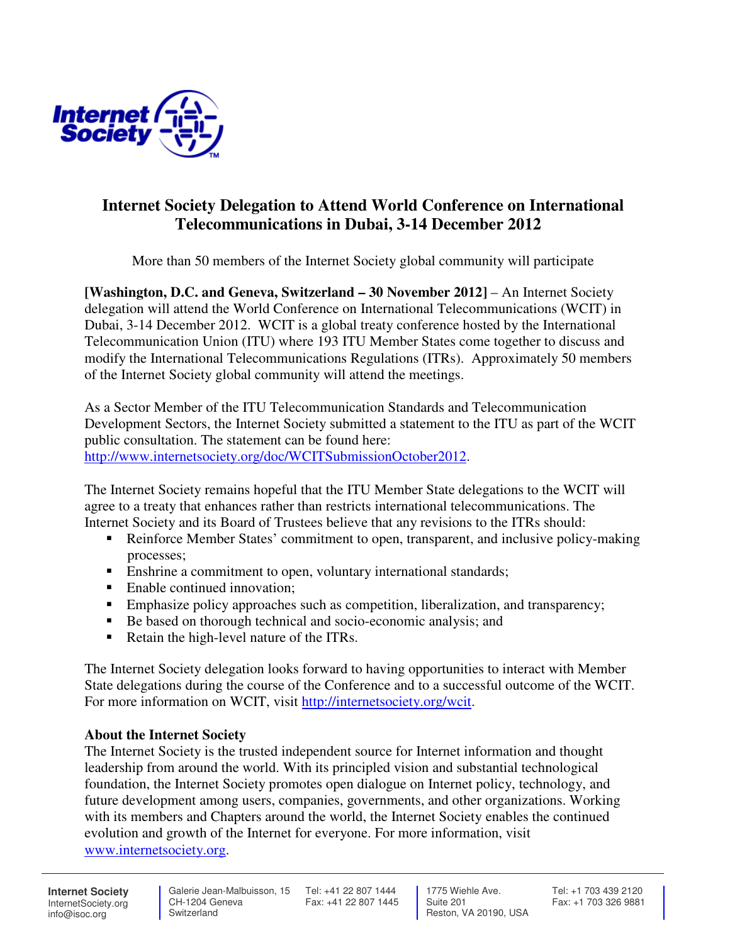

## **Internet Society Delegation to Attend World Conference on International Telecommunications in Dubai, 3-14 December 2012**

More than 50 members of the Internet Society global community will participate

**[Washington, D.C. and Geneva, Switzerland – 30 November 2012] – An Internet Society** delegation will attend the World Conference on International Telecommunications (WCIT) in Dubai, 3-14 December 2012. WCIT is a global treaty conference hosted by the International Telecommunication Union (ITU) where 193 ITU Member States come together to discuss and modify the International Telecommunications Regulations (ITRs). Approximately 50 members of the Internet Society global community will attend the meetings.

As a Sector Member of the ITU Telecommunication Standards and Telecommunication Development Sectors, the Internet Society submitted a statement to the ITU as part of the WCIT public consultation. The statement can be found here: http://www.internetsociety.org/doc/WCITSubmissionOctober2012.

The Internet Society remains hopeful that the ITU Member State delegations to the WCIT will agree to a treaty that enhances rather than restricts international telecommunications. The Internet Society and its Board of Trustees believe that any revisions to the ITRs should:

- Reinforce Member States' commitment to open, transparent, and inclusive policy-making processes;
- Enshrine a commitment to open, voluntary international standards;
- Enable continued innovation;
- Emphasize policy approaches such as competition, liberalization, and transparency;
- Be based on thorough technical and socio-economic analysis; and
- Retain the high-level nature of the ITRs.

The Internet Society delegation looks forward to having opportunities to interact with Member State delegations during the course of the Conference and to a successful outcome of the WCIT. For more information on WCIT, visit http://internetsociety.org/wcit.

## **About the Internet Society**

The Internet Society is the trusted independent source for Internet information and thought leadership from around the world. With its principled vision and substantial technological foundation, the Internet Society promotes open dialogue on Internet policy, technology, and future development among users, companies, governments, and other organizations. Working with its members and Chapters around the world, the Internet Society enables the continued evolution and growth of the Internet for everyone. For more information, visit www.internetsociety.org.

**Internet Society** InternetSociety.org info@isoc.org

 CH-1204 Geneva **Switzerland** 

 Galerie Jean-Malbuisson, 15 Tel: +41 22 807 1444 Fax: +41 22 807 1445

 1775 Wiehle Ave. Suite 201 Reston, VA 20190, USA Tel: +1 703 439 2120 Fax: +1 703 326 9881